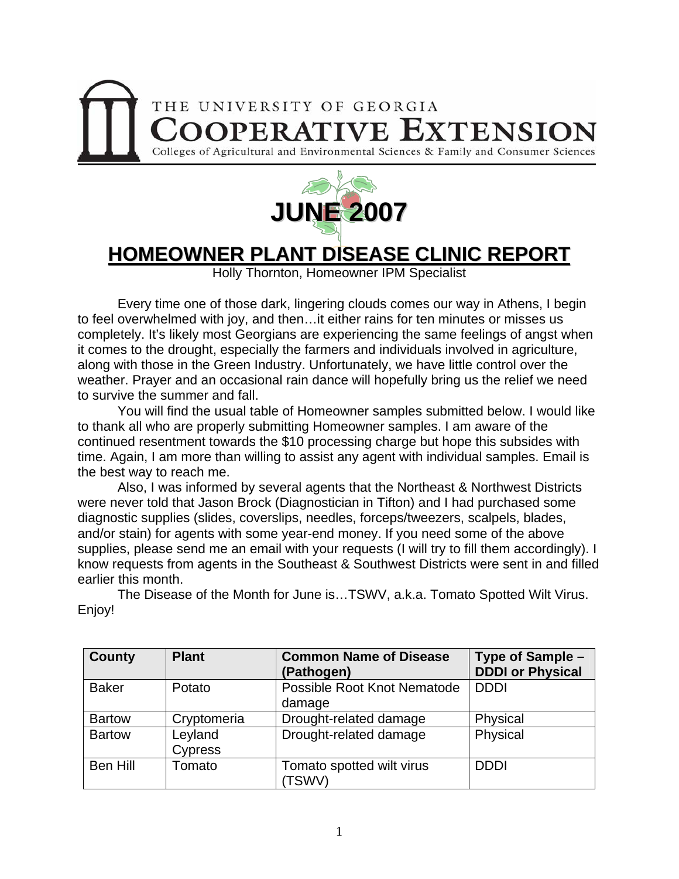



# **HOMEOWNER PLANT DISEASE CLINIC REPORT**

Holly Thornton, Homeowner IPM Specialist

 Every time one of those dark, lingering clouds comes our way in Athens, I begin to feel overwhelmed with joy, and then…it either rains for ten minutes or misses us completely. It's likely most Georgians are experiencing the same feelings of angst when it comes to the drought, especially the farmers and individuals involved in agriculture, along with those in the Green Industry. Unfortunately, we have little control over the weather. Prayer and an occasional rain dance will hopefully bring us the relief we need to survive the summer and fall.

 You will find the usual table of Homeowner samples submitted below. I would like to thank all who are properly submitting Homeowner samples. I am aware of the continued resentment towards the \$10 processing charge but hope this subsides with time. Again, I am more than willing to assist any agent with individual samples. Email is the best way to reach me.

 Also, I was informed by several agents that the Northeast & Northwest Districts were never told that Jason Brock (Diagnostician in Tifton) and I had purchased some diagnostic supplies (slides, coverslips, needles, forceps/tweezers, scalpels, blades, and/or stain) for agents with some year-end money. If you need some of the above supplies, please send me an email with your requests (I will try to fill them accordingly). I know requests from agents in the Southeast & Southwest Districts were sent in and filled earlier this month.

| <b>County</b>   | <b>Plant</b>       | <b>Common Name of Disease</b><br>(Pathogen) | Type of Sample -<br><b>DDDI or Physical</b> |
|-----------------|--------------------|---------------------------------------------|---------------------------------------------|
| <b>Baker</b>    | Potato             | Possible Root Knot Nematode<br>damage       | <b>DDDI</b>                                 |
| <b>Bartow</b>   | Cryptomeria        | Drought-related damage                      | Physical                                    |
| <b>Bartow</b>   | Leyland<br>Cypress | Drought-related damage                      | Physical                                    |
| <b>Ben Hill</b> | Tomato             | Tomato spotted wilt virus<br>(TSWV)         | <b>DDDI</b>                                 |

 The Disease of the Month for June is…TSWV, a.k.a. Tomato Spotted Wilt Virus. Enjoy!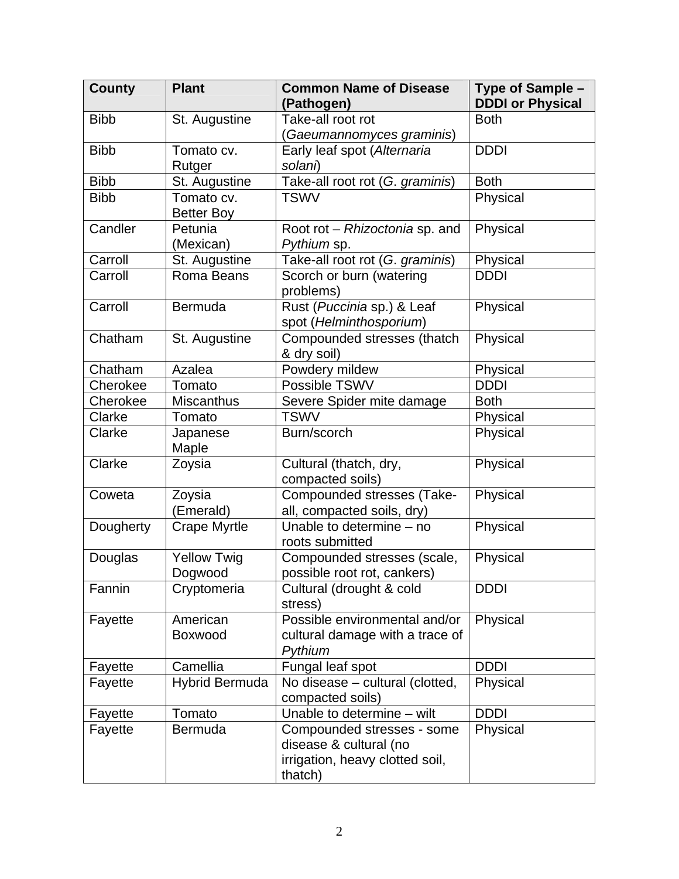| <b>County</b> | <b>Plant</b>                    | <b>Common Name of Disease</b><br>(Pathogen)                                                        | Type of Sample -<br><b>DDDI or Physical</b> |
|---------------|---------------------------------|----------------------------------------------------------------------------------------------------|---------------------------------------------|
| <b>Bibb</b>   | St. Augustine                   | Take-all root rot                                                                                  | <b>Both</b>                                 |
|               |                                 | (Gaeumannomyces graminis)                                                                          |                                             |
| <b>Bibb</b>   | Tomato cv.                      | Early leaf spot (Alternaria                                                                        | <b>DDDI</b>                                 |
|               | Rutger                          | solani)                                                                                            |                                             |
| <b>Bibb</b>   | St. Augustine                   | Take-all root rot (G. graminis)                                                                    | <b>Both</b>                                 |
| <b>Bibb</b>   | Tomato cv.<br><b>Better Boy</b> | <b>TSWV</b>                                                                                        | Physical                                    |
| Candler       | Petunia                         | Root rot - Rhizoctonia sp. and                                                                     | Physical                                    |
|               | (Mexican)                       | Pythium sp.                                                                                        |                                             |
| Carroll       | St. Augustine                   | Take-all root rot (G. graminis)                                                                    | Physical                                    |
| Carroll       | Roma Beans                      | Scorch or burn (watering                                                                           | <b>DDDI</b>                                 |
|               |                                 | problems)                                                                                          |                                             |
| Carroll       | Bermuda                         | Rust (Puccinia sp.) & Leaf                                                                         | Physical                                    |
|               |                                 | spot (Helminthosporium)                                                                            |                                             |
| Chatham       | St. Augustine                   | Compounded stresses (thatch<br>& dry soil)                                                         | Physical                                    |
| Chatham       | Azalea                          | Powdery mildew                                                                                     | Physical                                    |
| Cherokee      | Tomato                          | Possible TSWV                                                                                      | <b>DDDI</b>                                 |
| Cherokee      | Miscanthus                      | Severe Spider mite damage                                                                          | <b>Both</b>                                 |
| Clarke        | Tomato                          | <b>TSWV</b>                                                                                        | Physical                                    |
| Clarke        | Japanese<br>Maple               | Burn/scorch                                                                                        | Physical                                    |
| Clarke        | Zoysia                          | Cultural (thatch, dry,<br>compacted soils)                                                         | Physical                                    |
| Coweta        | Zoysia<br>(Emerald)             | Compounded stresses (Take-<br>all, compacted soils, dry)                                           | Physical                                    |
| Dougherty     | <b>Crape Myrtle</b>             | Unable to determine - no<br>roots submitted                                                        | Physical                                    |
| Douglas       | <b>Yellow Twig</b><br>Dogwood   | Compounded stresses (scale,<br>possible root rot. cankers)                                         | Physical                                    |
| Fannin        | Cryptomeria                     | Cultural (drought & cold<br>stress)                                                                | <b>DDDI</b>                                 |
| Fayette       | American<br>Boxwood             | Possible environmental and/or<br>cultural damage with a trace of<br>Pythium                        | Physical                                    |
| Fayette       | Camellia                        | Fungal leaf spot                                                                                   | <b>DDDI</b>                                 |
| Fayette       | <b>Hybrid Bermuda</b>           | No disease - cultural (clotted,<br>compacted soils)                                                | Physical                                    |
| Fayette       | Tomato                          | Unable to determine - wilt                                                                         | <b>DDDI</b>                                 |
| Fayette       | Bermuda                         | Compounded stresses - some<br>disease & cultural (no<br>irrigation, heavy clotted soil,<br>thatch) | Physical                                    |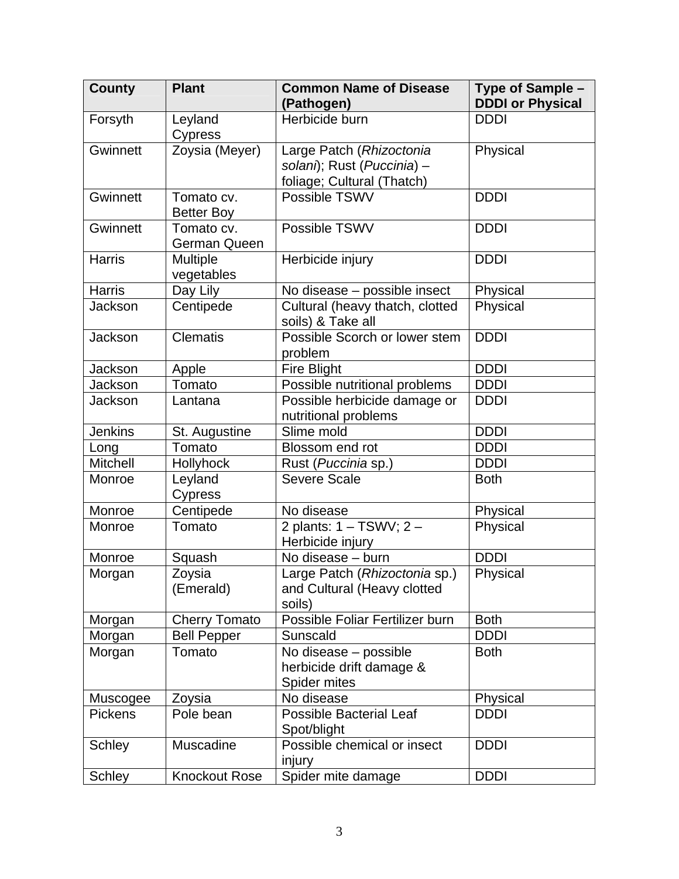| <b>County</b>   | <b>Plant</b>         | <b>Common Name of Disease</b><br>(Pathogen)          | Type of Sample -<br><b>DDDI or Physical</b> |
|-----------------|----------------------|------------------------------------------------------|---------------------------------------------|
| Forsyth         | Leyland              | Herbicide burn                                       | <b>DDDI</b>                                 |
|                 | Cypress              |                                                      |                                             |
| Gwinnett        | Zoysia (Meyer)       | Large Patch (Rhizoctonia                             | Physical                                    |
|                 |                      | solani); Rust (Puccinia) -                           |                                             |
|                 |                      | foliage; Cultural (Thatch)                           |                                             |
| Gwinnett        | Tomato cv.           | Possible TSWV                                        | <b>DDDI</b>                                 |
|                 | <b>Better Boy</b>    |                                                      |                                             |
| Gwinnett        | Tomato cv.           | Possible TSWV                                        | <b>DDDI</b>                                 |
|                 | <b>German Queen</b>  |                                                      |                                             |
| <b>Harris</b>   | Multiple             | Herbicide injury                                     | <b>DDDI</b>                                 |
|                 | vegetables           |                                                      |                                             |
| <b>Harris</b>   | Day Lily             | No disease - possible insect                         | Physical                                    |
| Jackson         | Centipede            | Cultural (heavy thatch, clotted<br>soils) & Take all | Physical                                    |
| <b>Jackson</b>  | <b>Clematis</b>      | Possible Scorch or lower stem<br>problem             | <b>DDDI</b>                                 |
| Jackson         | Apple                | <b>Fire Blight</b>                                   | <b>DDDI</b>                                 |
| Jackson         | Tomato               | Possible nutritional problems                        | <b>DDDI</b>                                 |
| Jackson         | Lantana              | Possible herbicide damage or<br>nutritional problems | <b>DDDI</b>                                 |
| <b>Jenkins</b>  | St. Augustine        | Slime mold                                           | <b>DDDI</b>                                 |
| Long            | Tomato               | Blossom end rot                                      | <b>DDDI</b>                                 |
| <b>Mitchell</b> | Hollyhock            | Rust (Puccinia sp.)                                  | <b>DDDI</b>                                 |
| Monroe          | Leyland              | <b>Severe Scale</b>                                  | <b>Both</b>                                 |
|                 | <b>Cypress</b>       |                                                      |                                             |
| Monroe          | Centipede            | No disease                                           | Physical                                    |
| Monroe          | Tomato               | 2 plants: 1 - TSWV; 2 -<br>Herbicide injury          | Physical                                    |
| Monroe          | Squash               | No disease - burn                                    | <b>DDDI</b>                                 |
| Morgan          | Zoysia               | Large Patch (Rhizoctonia sp.)                        | Physical                                    |
|                 | (Emerald)            | and Cultural (Heavy clotted<br>soils)                |                                             |
| Morgan          | <b>Cherry Tomato</b> | Possible Foliar Fertilizer burn                      | <b>Both</b>                                 |
| Morgan          | <b>Bell Pepper</b>   | Sunscald                                             | <b>DDDI</b>                                 |
| Morgan          | Tomato               | No disease - possible                                | <b>Both</b>                                 |
|                 |                      | herbicide drift damage &                             |                                             |
|                 |                      | Spider mites                                         |                                             |
| Muscogee        | Zoysia               | No disease                                           | Physical                                    |
| <b>Pickens</b>  | Pole bean            | <b>Possible Bacterial Leaf</b><br>Spot/blight        | <b>DDDI</b>                                 |
| Schley          | Muscadine            | Possible chemical or insect<br>injury                | <b>DDDI</b>                                 |
| <b>Schley</b>   | <b>Knockout Rose</b> | Spider mite damage                                   | <b>DDDI</b>                                 |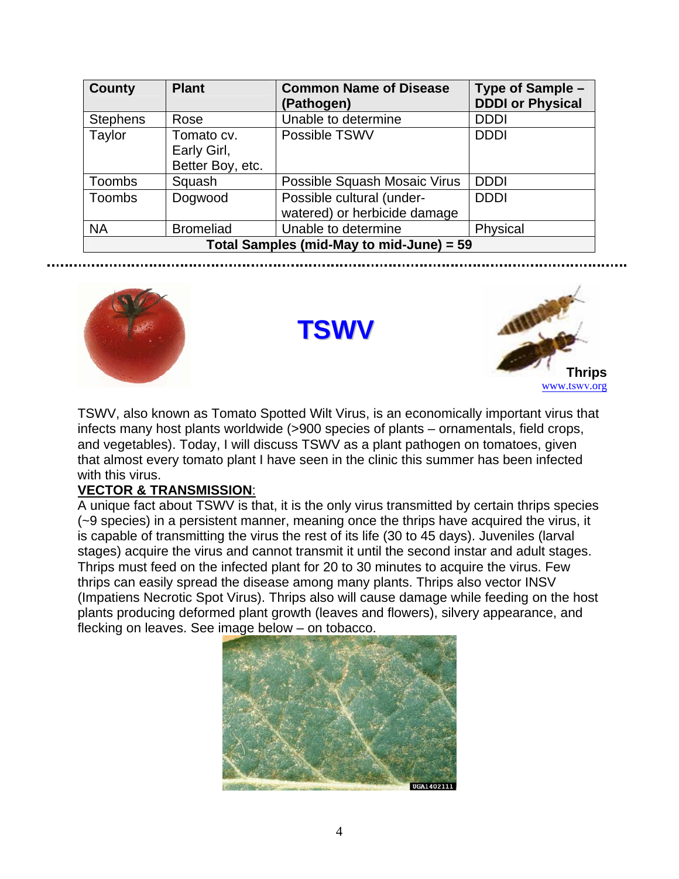| <b>County</b>                            | <b>Plant</b>                                  | <b>Common Name of Disease</b><br>(Pathogen)               | Type of Sample -<br><b>DDDI or Physical</b> |  |
|------------------------------------------|-----------------------------------------------|-----------------------------------------------------------|---------------------------------------------|--|
| <b>Stephens</b>                          | Rose                                          | Unable to determine                                       | <b>DDDI</b>                                 |  |
| Taylor                                   | Tomato cv.<br>Early Girl,<br>Better Boy, etc. | Possible TSWV                                             | <b>DDDI</b>                                 |  |
| Toombs                                   | Squash                                        | Possible Squash Mosaic Virus                              | <b>DDDI</b>                                 |  |
| <b>Toombs</b>                            | Dogwood                                       | Possible cultural (under-<br>watered) or herbicide damage | <b>DDDI</b>                                 |  |
| <b>NA</b>                                | <b>Bromeliad</b>                              | Unable to determine                                       | Physical                                    |  |
| Total Samples (mid-May to mid-June) = 59 |                                               |                                                           |                                             |  |



**TSWV**



TSWV, also known as Tomato Spotted Wilt Virus, is an economically important virus that infects many host plants worldwide (>900 species of plants – ornamentals, field crops, and vegetables). Today, I will discuss TSWV as a plant pathogen on tomatoes, given that almost every tomato plant I have seen in the clinic this summer has been infected with this virus.

### **VECTOR & TRANSMISSION**:

A unique fact about TSWV is that, it is the only virus transmitted by certain thrips species (~9 species) in a persistent manner, meaning once the thrips have acquired the virus, it is capable of transmitting the virus the rest of its life (30 to 45 days). Juveniles (larval stages) acquire the virus and cannot transmit it until the second instar and adult stages. Thrips must feed on the infected plant for 20 to 30 minutes to acquire the virus. Few thrips can easily spread the disease among many plants. Thrips also vector INSV (Impatiens Necrotic Spot Virus). Thrips also will cause damage while feeding on the host plants producing deformed plant growth (leaves and flowers), silvery appearance, and flecking on leaves. See image below – on tobacco.

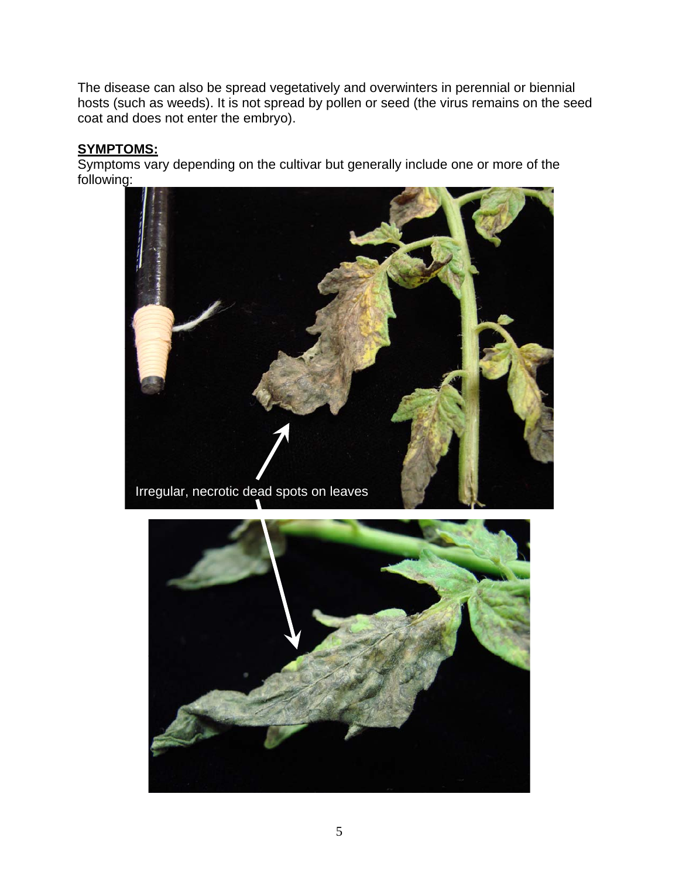The disease can also be spread vegetatively and overwinters in perennial or biennial hosts (such as weeds). It is not spread by pollen or seed (the virus remains on the seed coat and does not enter the embryo).

#### **SYMPTOMS:**

Symptoms vary depending on the cultivar but generally include one or more of the following:



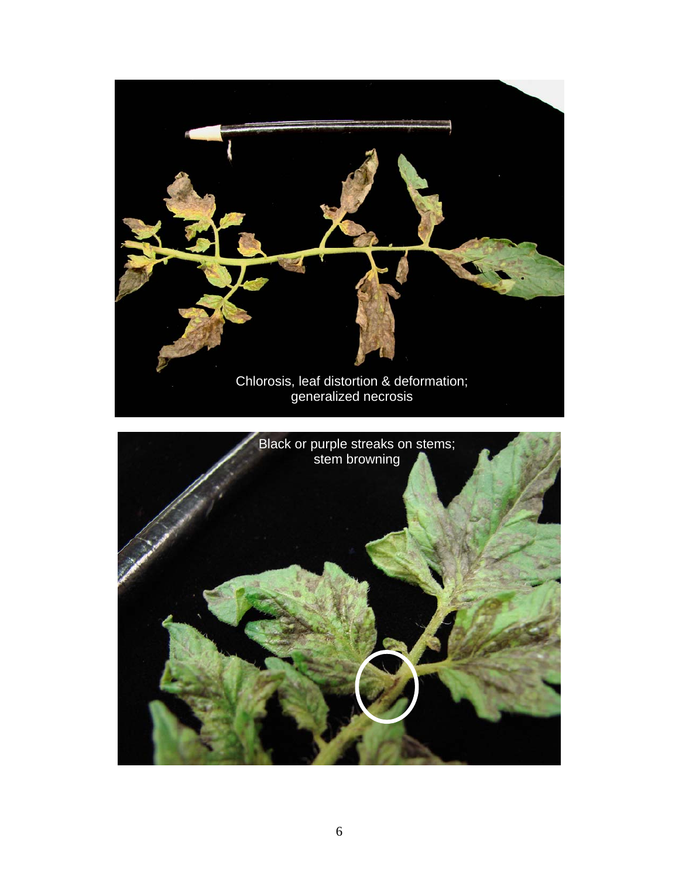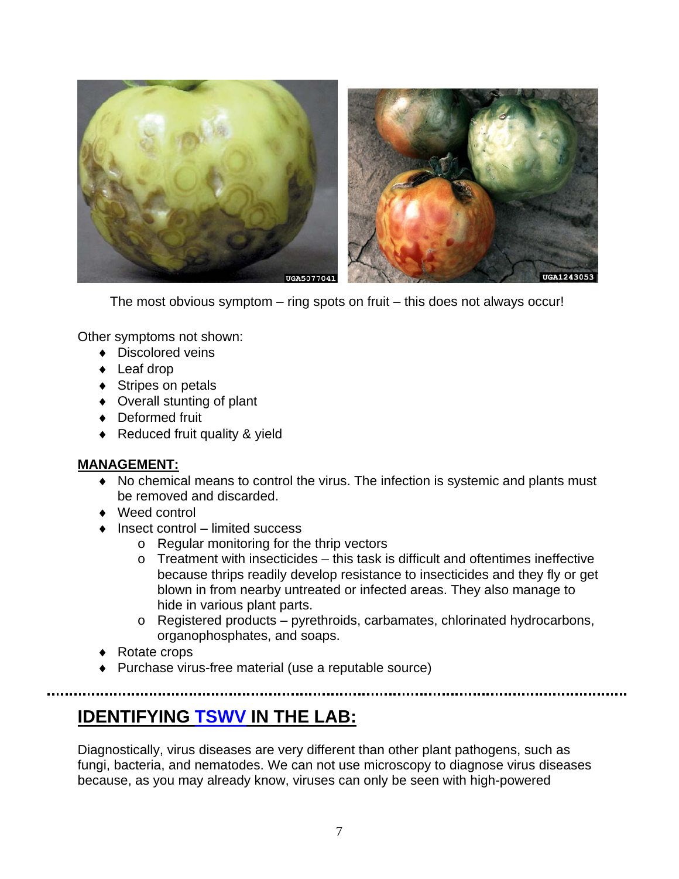

The most obvious symptom – ring spots on fruit – this does not always occur!

Other symptoms not shown:

- ♦ Discolored veins
- ◆ Leaf drop
- ◆ Stripes on petals
- ♦ Overall stunting of plant
- ♦ Deformed fruit
- ♦ Reduced fruit quality & yield

#### **MANAGEMENT:**

- ♦ No chemical means to control the virus. The infection is systemic and plants must be removed and discarded.
- ♦ Weed control
- ♦ Insect control limited success
	- o Regular monitoring for the thrip vectors
	- $\circ$  Treatment with insecticides this task is difficult and oftentimes ineffective because thrips readily develop resistance to insecticides and they fly or get blown in from nearby untreated or infected areas. They also manage to hide in various plant parts.
	- o Registered products pyrethroids, carbamates, chlorinated hydrocarbons, organophosphates, and soaps.
- ♦ Rotate crops
- ♦ Purchase virus-free material (use a reputable source)

----------------------

## **IDENTIFYING TSWV IN THE LAB:**

Diagnostically, virus diseases are very different than other plant pathogens, such as fungi, bacteria, and nematodes. We can not use microscopy to diagnose virus diseases because, as you may already know, viruses can only be seen with high-powered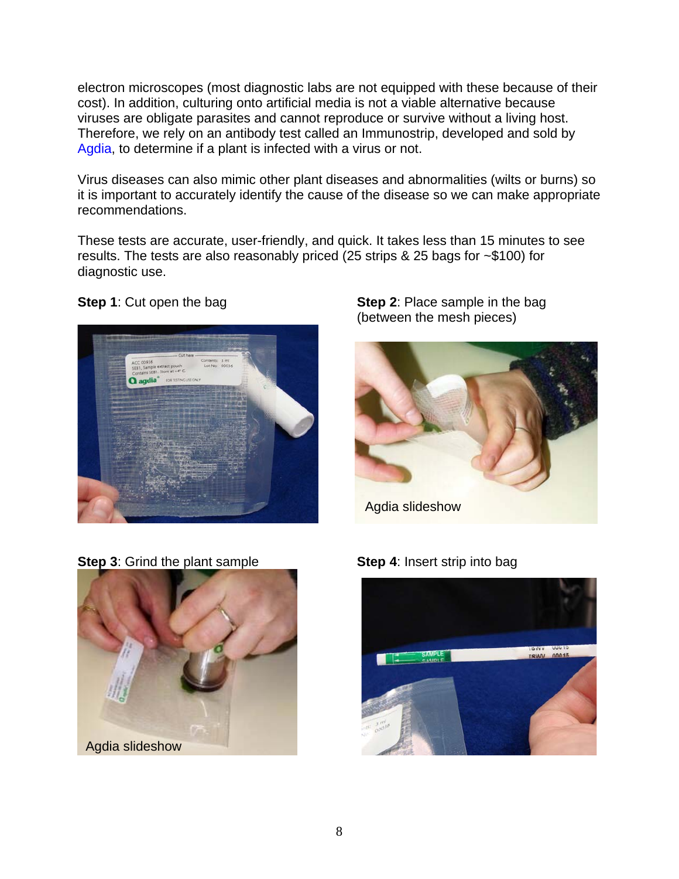electron microscopes (most diagnostic labs are not equipped with these because of their cost). In addition, culturing onto artificial media is not a viable alternative because viruses are obligate parasites and cannot reproduce or survive without a living host. Therefore, we rely on an antibody test called an Immunostrip, developed and sold by Agdia, to determine if a plant is infected with a virus or not.

Virus diseases can also mimic other plant diseases and abnormalities (wilts or burns) so it is important to accurately identify the cause of the disease so we can make appropriate recommendations.

These tests are accurate, user-friendly, and quick. It takes less than 15 minutes to see results. The tests are also reasonably priced (25 strips & 25 bags for ~\$100) for diagnostic use.



**Step 1**: Cut open the bag **Step 2**: Place sample in the bag (between the mesh pieces)